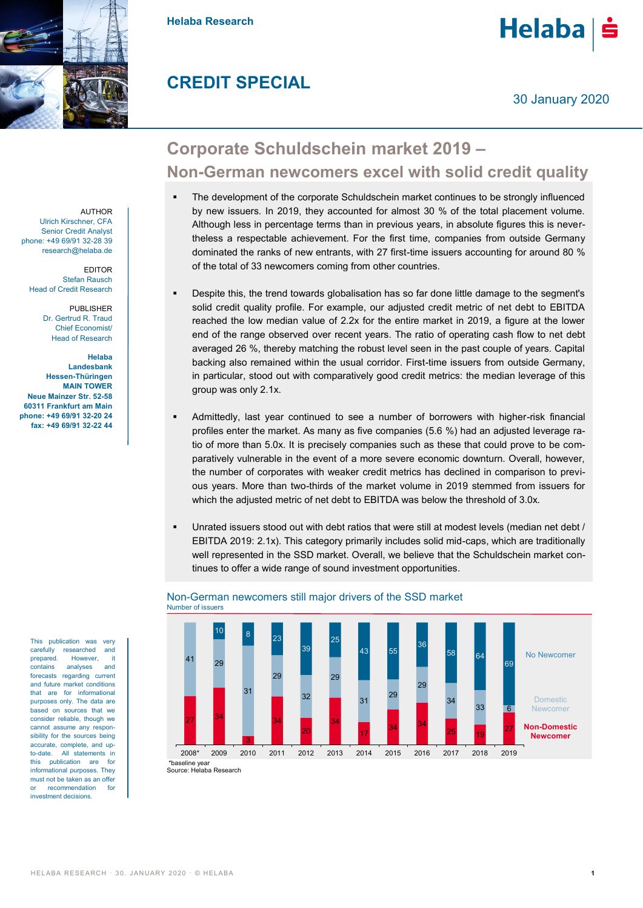

**Helaba Research**

## **CREDIT SPECIAL**

30 January 2020

**Helaba** 

# **Corporate Schuldschein market 2019 – Non-German newcomers excel with solid credit quality**

- The development of the corporate Schuldschein market continues to be strongly influenced by new issuers. In 2019, they accounted for almost 30 % of the total placement volume. Although less in percentage terms than in previous years, in absolute figures this is nevertheless a respectable achievement. For the first time, companies from outside Germany dominated the ranks of new entrants, with 27 first-time issuers accounting for around 80 % of the total of 33 newcomers coming from other countries.
- Despite this, the trend towards globalisation has so far done little damage to the segment's solid credit quality profile. For example, our adjusted credit metric of net debt to EBITDA reached the low median value of 2.2x for the entire market in 2019, a figure at the lower end of the range observed over recent years. The ratio of operating cash flow to net debt averaged 26 %, thereby matching the robust level seen in the past couple of years. Capital backing also remained within the usual corridor. First-time issuers from outside Germany, in particular, stood out with comparatively good credit metrics: the median leverage of this group was only 2.1x.
- Admittedly, last year continued to see a number of borrowers with higher-risk financial profiles enter the market. As many as five companies (5.6 %) had an adjusted leverage ratio of more than 5.0x. It is precisely companies such as these that could prove to be comparatively vulnerable in the event of a more severe economic downturn. Overall, however, the number of corporates with weaker credit metrics has declined in comparison to previous years. More than two-thirds of the market volume in 2019 stemmed from issuers for which the adjusted metric of net debt to EBITDA was below the threshold of 3.0x.
- Unrated issuers stood out with debt ratios that were still at modest levels (median net debt / EBITDA 2019: 2.1x). This category primarily includes solid mid-caps, which are traditionally well represented in the SSD market. Overall, we believe that the Schuldschein market continues to offer a wide range of sound investment opportunities.



### Non-German newcomers still major drivers of the SSD market Number of issuers

Source: Helaba Research

AUTHOR Ulrich Kirschner, CFA Senior Credit Analyst phone: +49 69/91 32-28 39 research@helaba.de

EDITOR Stefan Rausch Head of Credit Research

> PUBLISHER Dr. Gertrud R. Traud Chief Economist/ Head of Research

**Helaba Landesbank Hessen-Thüringen MAIN TOWER Neue Mainzer Str. 52-58 60311 Frankfurt am Main phone: +49 69/91 32-20 24 fax: +49 69/91 32-22 44**

> This publication was very carefully researched and prepared. However, it contains analyses and forecasts regarding current and future market conditions that are for informational purposes only. The data are based on sources that we consider reliable, though we cannot assume any responsibility for the sources being accurate, complete, and upto-date. All statements in this publication are for informational purposes. They must not be taken as an offer or recommendation for investment decisions.